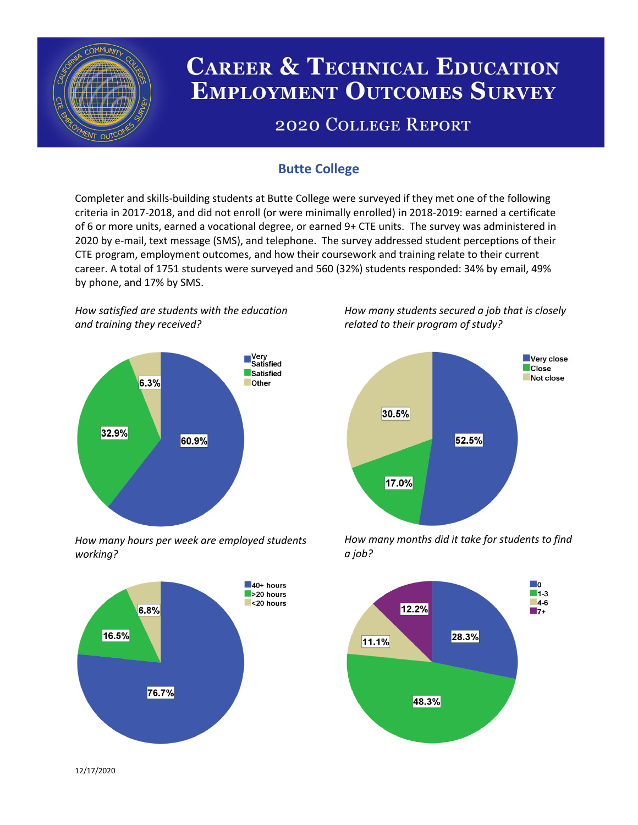

# **CAREER & TECHNICAL EDUCATION EMPLOYMENT OUTCOMES SURVEY**

## **2020 COLLEGE REPORT**

## **Butte College**

Completer and skills-building students at Butte College were surveyed if they met one of the following criteria in 2017-2018, and did not enroll (or were minimally enrolled) in 2018-2019: earned a certificate of 6 or more units, earned a vocational degree, or earned 9+ CTE units. The survey was administered in 2020 by e-mail, text message (SMS), and telephone. The survey addressed student perceptions of their CTE program, employment outcomes, and how their coursework and training relate to their current career. A total of 1751 students were surveyed and 560 (32%) students responded: 34% by email, 49% by phone, and 17% by SMS.

*How satisfied are students with the education and training they received?*



*How many hours per week are employed students working?*



*How many students secured a job that is closely related to their program of study?*



*How many months did it take for students to find a job?*